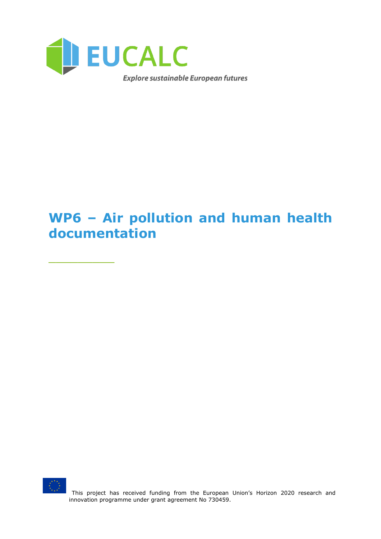

# **WP6 – Air pollution and human health documentation**



\_\_\_\_\_\_\_\_\_

This project has received funding from the European Union's Horizon 2020 research and innovation programme under grant agreement No 730459.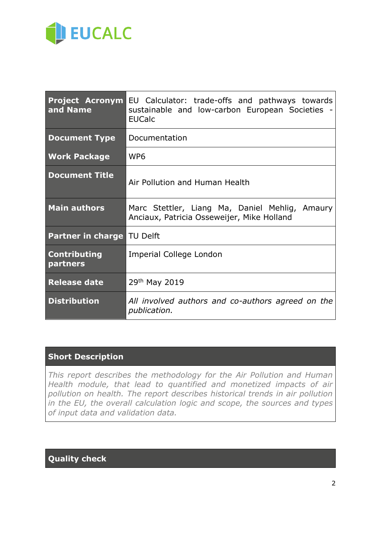

| and Name                          | <b>Project Acronym EU</b> Calculator: trade-offs and pathways towards<br>sustainable and low-carbon European Societies -<br><b>EUCalc</b> |
|-----------------------------------|-------------------------------------------------------------------------------------------------------------------------------------------|
| <b>Document Type</b>              | Documentation                                                                                                                             |
| <b>Work Package</b>               | WP <sub>6</sub>                                                                                                                           |
| <b>Document Title</b>             | Air Pollution and Human Health                                                                                                            |
| <b>Main authors</b>               | Marc Stettler, Liang Ma, Daniel Mehlig, Amaury<br>Anciaux, Patricia Osseweijer, Mike Holland                                              |
| <b>Partner in charge TU Delft</b> |                                                                                                                                           |
| <b>Contributing</b><br>partners   | Imperial College London                                                                                                                   |
| <b>Release date</b>               | 29th May 2019                                                                                                                             |
| <b>Distribution</b>               | All involved authors and co-authors agreed on the<br>publication.                                                                         |

### **Short Description**

*This report describes the methodology for the Air Pollution and Human Health module, that lead to quantified and monetized impacts of air pollution on health. The report describes historical trends in air pollution in the EU, the overall calculation logic and scope, the sources and types of input data and validation data.*

### **Quality check**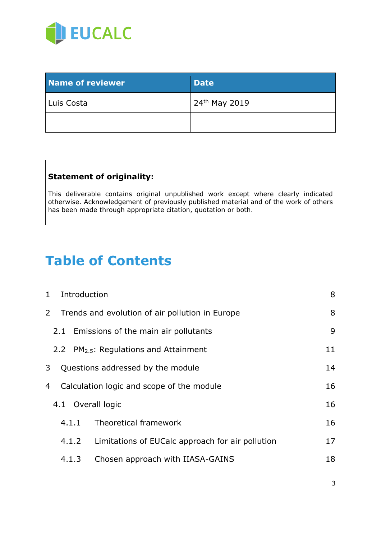

| <b>Name of reviewer</b> | <b>Date</b>               |
|-------------------------|---------------------------|
| Luis Costa              | 24 <sup>th</sup> May 2019 |
|                         |                           |

### **Statement of originality:**

This deliverable contains original unpublished work except where clearly indicated otherwise. Acknowledgement of previously published material and of the work of others has been made through appropriate citation, quotation or both.

# **Table of Contents**

| $\mathbf{1}$ |     | Introduction |                                                    | 8  |
|--------------|-----|--------------|----------------------------------------------------|----|
| $\mathbf{2}$ |     |              | Trends and evolution of air pollution in Europe    | 8  |
|              | 2.1 |              | Emissions of the main air pollutants               | 9  |
|              |     |              | 2.2 PM <sub>2.5</sub> : Regulations and Attainment | 11 |
| 3            |     |              | Questions addressed by the module                  | 14 |
| 4            |     |              | Calculation logic and scope of the module          | 16 |
|              |     |              | 4.1 Overall logic                                  | 16 |
|              |     | 4.1.1        | Theoretical framework                              | 16 |
|              |     | 4.1.2        | Limitations of EUCalc approach for air pollution   | 17 |
|              |     | 4.1.3        | Chosen approach with IIASA-GAINS                   | 18 |
|              |     |              |                                                    |    |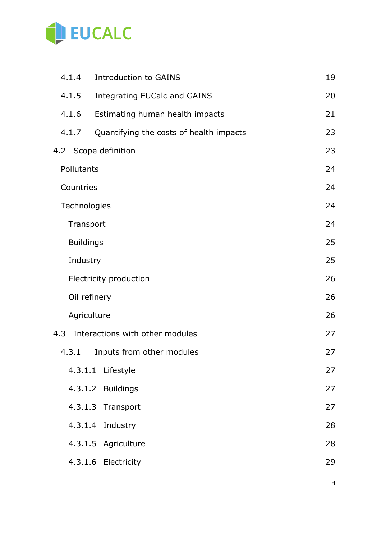

|     | 4.1.4            | <b>Introduction to GAINS</b>            | 19 |
|-----|------------------|-----------------------------------------|----|
|     | 4.1.5            | <b>Integrating EUCalc and GAINS</b>     | 20 |
|     | 4.1.6            | Estimating human health impacts         | 21 |
|     | 4.1.7            | Quantifying the costs of health impacts | 23 |
|     |                  | 4.2 Scope definition                    | 23 |
|     | Pollutants       |                                         | 24 |
|     | Countries        |                                         | 24 |
|     | Technologies     |                                         | 24 |
|     | Transport        |                                         | 24 |
|     | <b>Buildings</b> |                                         | 25 |
|     | Industry         |                                         | 25 |
|     |                  | Electricity production                  | 26 |
|     | Oil refinery     |                                         | 26 |
|     | Agriculture      |                                         | 26 |
| 4.3 |                  | Interactions with other modules         | 27 |
|     | 4.3.1            | Inputs from other modules               | 27 |
|     |                  | 4.3.1.1 Lifestyle                       | 27 |
|     |                  | 4.3.1.2 Buildings                       | 27 |
|     |                  | 4.3.1.3 Transport                       | 27 |
|     | 4.3.1.4          | Industry                                | 28 |
|     |                  | 4.3.1.5 Agriculture                     | 28 |
|     |                  | 4.3.1.6 Electricity                     | 29 |
|     |                  |                                         |    |

4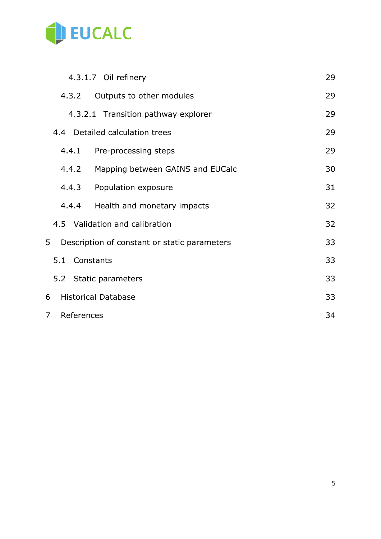

| 4.3.1.7 Oil refinery                              | 29 |
|---------------------------------------------------|----|
| 4.3.2<br>Outputs to other modules                 | 29 |
| 4.3.2.1 Transition pathway explorer               | 29 |
| 4.4 Detailed calculation trees                    | 29 |
| 4.4.1<br>Pre-processing steps                     | 29 |
| 4.4.2<br>Mapping between GAINS and EUCalc         | 30 |
| 4.4.3<br>Population exposure                      | 31 |
| Health and monetary impacts<br>4.4.4              | 32 |
| 4.5 Validation and calibration                    | 32 |
| 5<br>Description of constant or static parameters | 33 |
| 5.1 Constants                                     | 33 |
| 5.2 Static parameters                             | 33 |
| <b>Historical Database</b><br>6                   | 33 |
| References<br>7                                   | 34 |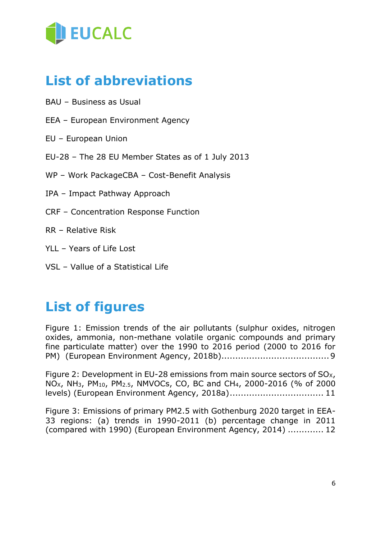

# **List of abbreviations**

- BAU Business as Usual
- EEA European Environment Agency
- EU European Union
- EU-28 The 28 EU Member States as of 1 July 2013
- WP Work PackageCBA Cost-Benefit Analysis
- IPA Impact Pathway Approach
- CRF Concentration Response Function
- RR Relative Risk
- YLL Years of Life Lost
- VSL Vallue of a Statistical Life

# **List of figures**

[Figure 1: Emission trends of the air pollutants \(sulphur oxides, nitrogen](#page-8-1)  [oxides, ammonia, non-methane volatile organic compounds and primary](#page-8-1)  [fine particulate matter\) over the 1990 to 2016 period \(2000 to 2016 for](#page-8-1)  PM) [\(European Environment Agency, 2018b\).......................................9](#page-8-1)

Figure 2: Development in EU-28 emissions from main source sectors of  $SO_{X}$ ,  $NO_{X}$ , NH<sub>3</sub>, PM<sub>10</sub>, PM<sub>2.5</sub>, NMVOCs, CO, BC and CH<sub>4</sub>, 2000-2016 (% of 2000 [levels\) \(European Environment Agency, 2018a\)..................................](#page-10-1) 11

[Figure 3: Emissions of primary PM2.5 with Gothenburg 2020 target in EEA-](#page-11-0)[33 regions: \(a\) trends in 1990-2011 \(b\) percentage change in 2011](#page-11-0)  [\(compared with 1990\) \(European Environment Agency, 2014\)](#page-11-0) ............. 12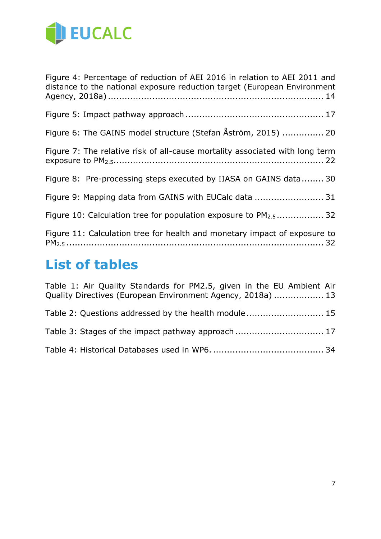

[Figure 4: Percentage of reduction of AEI 2016 in relation to AEI 2011 and](#page-13-1)  [distance to the national exposure reduction target \(European Environment](#page-13-1)  Agency, 2018a) [..............................................................................](#page-13-1) 14 [Figure 5: Impact pathway approach](#page-16-1) .................................................. 17 [Figure 6: The GAINS model structure \(Stefan Åström, 2015\)](#page-19-1) ............... 20 [Figure 7: The relative risk of all-cause mortality associated with long term](#page-21-0)  exposure to PM2.5[............................................................................](#page-21-0) 22 [Figure 8: Pre-processing steps executed by IIASA on GAINS data........](#page-29-1) 30 [Figure 9: Mapping data from GAINS with EUCalc data](#page-30-1) ......................... 31 [Figure 10: Calculation tree for population exposure to PM](#page-30-2)<sub>2.5</sub>.................. 32 [Figure 11: Calculation tree for health and monetary impact of exposure to](#page-31-2)  PM2.5 [.............................................................................................](#page-31-2) 32

# **List of tables**

| Table 1: Air Quality Standards for PM2.5, given in the EU Ambient Air<br>Quality Directives (European Environment Agency, 2018a)  13 |  |
|--------------------------------------------------------------------------------------------------------------------------------------|--|
| Table 2: Questions addressed by the health module 15                                                                                 |  |
| Table 3: Stages of the impact pathway approach  17                                                                                   |  |
|                                                                                                                                      |  |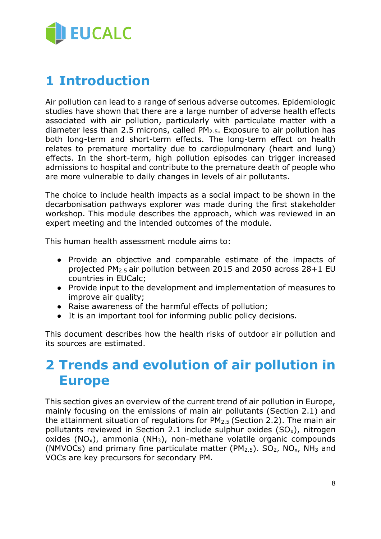

# <span id="page-7-0"></span>**1 Introduction**

Air pollution can lead to a range of serious adverse outcomes. Epidemiologic studies have shown that there are a large number of adverse health effects associated with air pollution, particularly with particulate matter with a diameter less than 2.5 microns, called  $PM<sub>2.5</sub>$ . Exposure to air pollution has both long-term and short-term effects. The long-term effect on health relates to premature mortality due to cardiopulmonary (heart and lung) effects. In the short-term, high pollution episodes can trigger increased admissions to hospital and contribute to the premature death of people who are more vulnerable to daily changes in levels of air pollutants.

The choice to include health impacts as a social impact to be shown in the decarbonisation pathways explorer was made during the first stakeholder workshop. This module describes the approach, which was reviewed in an expert meeting and the intended outcomes of the module.

This human health assessment module aims to:

- Provide an objective and comparable estimate of the impacts of projected PM2.5 air pollution between 2015 and 2050 across 28+1 EU countries in EUCalc;
- Provide input to the development and implementation of measures to improve air quality;
- Raise awareness of the harmful effects of pollution;
- It is an important tool for informing public policy decisions.

This document describes how the health risks of outdoor air pollution and its sources are estimated.

# <span id="page-7-1"></span>**2 Trends and evolution of air pollution in Europe**

This section gives an overview of the current trend of air pollution in Europe, mainly focusing on the emissions of main air pollutants (Section 2.1) and the attainment situation of regulations for  $PM<sub>2.5</sub>$  (Section 2.2). The main air pollutants reviewed in Section 2.1 include sulphur oxides  $(SO_x)$ , nitrogen oxides  $(NO_x)$ , ammonia  $(NH_3)$ , non-methane volatile organic compounds (NMVOCs) and primary fine particulate matter (PM $_{2.5}$ ). SO<sub>2</sub>, NO<sub>x</sub>, NH<sub>3</sub> and VOCs are key precursors for secondary PM.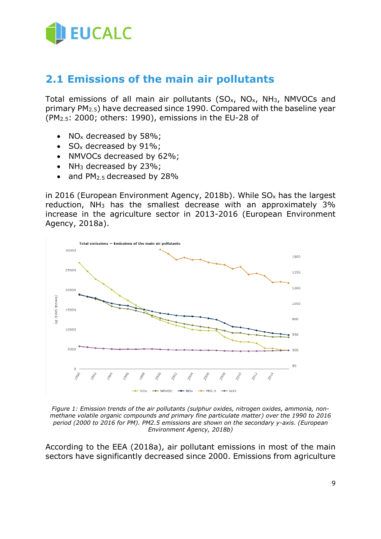

# <span id="page-8-0"></span>**2.1 Emissions of the main air pollutants**

Total emissions of all main air pollutants  $(SO<sub>x</sub>, NO<sub>x</sub>, NH<sub>3</sub>, NMVOCs$  and primary PM2.5) have decreased since 1990. Compared with the baseline year (PM2.5: 2000; others: 1990), emissions in the EU-28 of

- NO<sub>x</sub> decreased by 58%;
- $SO_x$  decreased by 91%;
- NMVOCs decreased by 62%;
- $NH<sub>3</sub>$  decreased by 23%;
- and PM<sub>2.5</sub> decreased by 28%

in 2016 (European Environment Agency, 2018b). While  $SO_x$  has the largest reduction,  $NH<sub>3</sub>$  has the smallest decrease with an approximately 3% increase in the agriculture sector in 2013-2016 (European Environment Agency, 2018a).



<span id="page-8-1"></span>*Figure 1: Emission trends of the air pollutants (sulphur oxides, nitrogen oxides, ammonia, nonmethane volatile organic compounds and primary fine particulate matter) over the 1990 to 2016 period (2000 to 2016 for PM). PM2.5 emissions are shown on the secondary y-axis. (European Environment Agency, 2018b)*

According to the EEA (2018a), air pollutant emissions in most of the main sectors have significantly decreased since 2000. Emissions from agriculture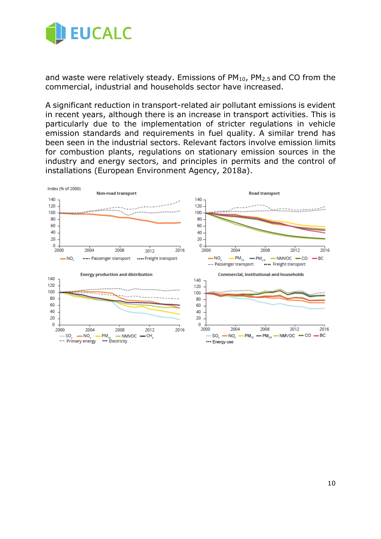

and waste were relatively steady. Emissions of  $PM_{10}$ ,  $PM_{2.5}$  and CO from the commercial, industrial and households sector have increased.

A significant reduction in transport-related air pollutant emissions is evident in recent years, although there is an increase in transport activities. This is particularly due to the implementation of stricter regulations in vehicle emission standards and requirements in fuel quality. A similar trend has been seen in the industrial sectors. Relevant factors involve emission limits for combustion plants, regulations on stationary emission sources in the industry and energy sectors, and principles in permits and the control of installations (European Environment Agency, 2018a).

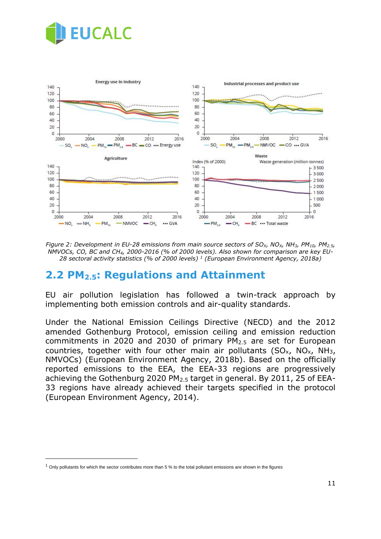



<span id="page-10-1"></span>*Figure 2: Development in EU-28 emissions from main source sectors of SOX, NOX, NH3, PM10, PM2.5, NMVOCs, CO, BC and CH4, 2000-2016 (% of 2000 levels). Also shown for comparison are key EU-28 sectoral activity statistics (% of 2000 levels) <sup>1</sup> (European Environment Agency, 2018a)*

## <span id="page-10-0"></span>**2.2 PM2.5: Regulations and Attainment**

EU air pollution legislation has followed a twin-track approach by implementing both emission controls and air-quality standards.

Under the National Emission Ceilings Directive (NECD) and the 2012 amended Gothenburg Protocol, emission ceiling and emission reduction commitments in 2020 and 2030 of primary PM2.5 are set for European countries, together with four other main air pollutants  $(SO<sub>x</sub>, NO<sub>x</sub>, NH<sub>3</sub>,$ NMVOCs) (European Environment Agency, 2018b). Based on the officially reported emissions to the EEA, the EEA-33 regions are progressively achieving the Gothenburg 2020 PM2.5 target in general. By 2011, 25 of EEA-33 regions have already achieved their targets specified in the protocol (European Environment Agency, 2014).

 $\overline{a}$ 

 $1$  Only pollutants for which the sector contributes more than 5 % to the total pollutant emissions are shown in the figures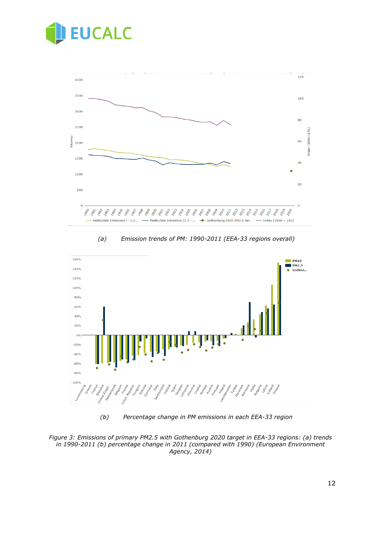



*(a) Emission trends of PM: 1990-2011 (EEA-33 regions overall)*



*(b) Percentage change in PM emissions in each EEA-33 region*

<span id="page-11-0"></span>*Figure 3: Emissions of primary PM2.5 with Gothenburg 2020 target in EEA-33 regions: (a) trends in 1990-2011 (b) percentage change in 2011 (compared with 1990) (European Environment Agency, 2014)*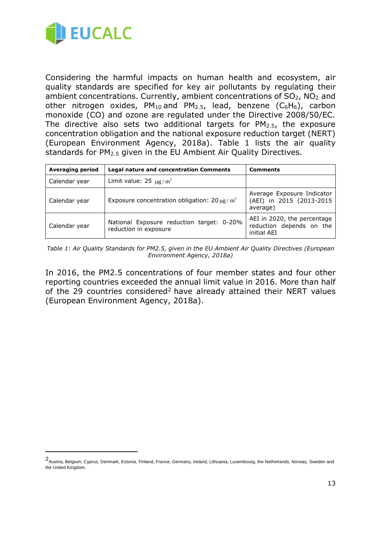

 $\overline{a}$ 

Considering the harmful impacts on human health and ecosystem, air quality standards are specified for key air pollutants by regulating their ambient concentrations. Currently, ambient concentrations of SO<sub>2</sub>, NO<sub>2</sub> and other nitrogen oxides,  $PM_{10}$  and  $PM_{2.5}$ , lead, benzene (C<sub>6</sub>H<sub>6</sub>), carbon monoxide (CO) and ozone are regulated under the Directive 2008/50/EC. The directive also sets two additional targets for  $PM<sub>2.5</sub>$ , the exposure concentration obligation and the national exposure reduction target (NERT) (European Environment Agency, 2018a). [Table 1](#page-12-0) lists the air quality standards for PM<sub>2.5</sub> given in the EU Ambient Air Quality Directives.

| <b>Averaging period</b> | <b>Legal nature and concentration Comments</b>                     | <b>Comments</b>                                                        |
|-------------------------|--------------------------------------------------------------------|------------------------------------------------------------------------|
| Calendar year           | Limit value: $25 \ \mu g/m^3$                                      |                                                                        |
| Calendar year           | Exposure concentration obligation: $20 \mu g/m^3$                  | Average Exposure Indicator<br>(AEI) in 2015 (2013-2015<br>average)     |
| Calendar year           | National Exposure reduction target: 0-20%<br>reduction in exposure | AEI in 2020, the percentage<br>reduction depends on the<br>initial AEI |

<span id="page-12-0"></span>*Table 1: Air Quality Standards for PM2.5, given in the EU Ambient Air Quality Directives (European Environment Agency, 2018a)*

In 2016, the PM2.5 concentrations of four member states and four other reporting countries exceeded the annual limit value in 2016. More than half of the 29 countries considered<sup>2</sup> have already attained their NERT values (European Environment Agency, 2018a).

<sup>2</sup> Austria, Belgium, Cyprus, Denmark, Estonia, Finland, France, Germany, Ireland, Lithuania, Luxembourg, the Netherlands, Norway, Sweden and the United Kingdom.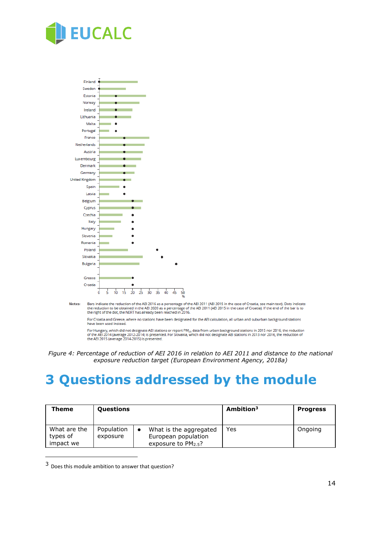



Bars indicate the reduction of the AEI 2016 as a percentage of the AEI 2011 (AEI 2015 in the case of Croatia, see main text). Dots indicate<br>the reduction to be obtained in the AEI 2020 as a percentage of the AEI 2011 (AEI Notes:

For Croatia and Greece, where no stations have been designated for the AEI calculation, all urban and suburban background stations have been used instead

For Hungary, which did not designate AEI stations or report PM $_{1.5}$  data from urban background stations in 2015 nor 2016, the reduction<br>of the AEI 2014 (average 2012-2014) is presented. For Slovakia, which did not desig

# <span id="page-13-0"></span>**3 Questions addressed by the module**

| Theme                                 | <b>Questions</b>       |                                                                                        | Ambition <sup>3</sup> | <b>Progress</b> |
|---------------------------------------|------------------------|----------------------------------------------------------------------------------------|-----------------------|-----------------|
| What are the<br>types of<br>impact we | Population<br>exposure | What is the aggregated<br>$\bullet$<br>European population<br>exposure to $PM_{2.5}$ ? | Yes                   | Ongoing         |

<sup>3</sup> Does this module ambition to answer that question?

 $\overline{a}$ 

<span id="page-13-1"></span>*Figure 4: Percentage of reduction of AEI 2016 in relation to AEI 2011 and distance to the national exposure reduction target (European Environment Agency, 2018a)*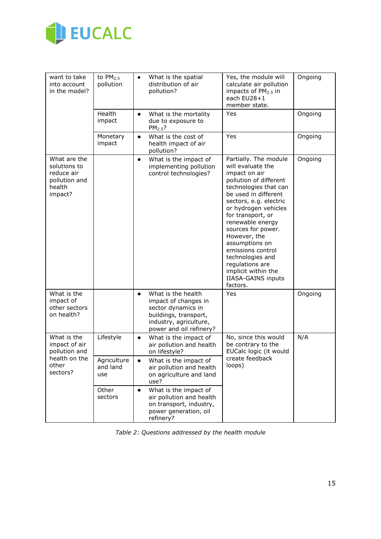

| want to take<br>into account<br>in the model?                                    | to $PM2.5$<br>pollution        | $\bullet$ | What is the spatial<br>distribution of air<br>pollution?                                                                                       | Yes, the module will<br>calculate air pollution<br>impacts of PM <sub>2.5</sub> in<br>each EU28+1<br>member state.                                                                                                                                                                                                                                                                                                    | Ongoing |
|----------------------------------------------------------------------------------|--------------------------------|-----------|------------------------------------------------------------------------------------------------------------------------------------------------|-----------------------------------------------------------------------------------------------------------------------------------------------------------------------------------------------------------------------------------------------------------------------------------------------------------------------------------------------------------------------------------------------------------------------|---------|
|                                                                                  | Health<br>impact               | $\bullet$ | What is the mortality<br>due to exposure to<br>$PM2.5$ ?                                                                                       | Yes                                                                                                                                                                                                                                                                                                                                                                                                                   | Ongoing |
|                                                                                  | Monetary<br>impact             | $\bullet$ | What is the cost of<br>health impact of air<br>pollution?                                                                                      | Yes                                                                                                                                                                                                                                                                                                                                                                                                                   | Ongoing |
| What are the<br>solutions to<br>reduce air<br>pollution and<br>health<br>impact? |                                | $\bullet$ | What is the impact of<br>implementing pollution<br>control technologies?                                                                       | Partially. The module<br>will evaluate the<br>impact on air<br>pollution of different<br>technologies that can<br>be used in different<br>sectors, e.g. electric<br>or hydrogen vehicles<br>for transport, or<br>renewable energy<br>sources for power.<br>However, the<br>assumptions on<br>emissions control<br>technologies and<br>regulations are<br>implicit within the<br><b>IIASA-GAINS inputs</b><br>factors. | Ongoing |
| What is the<br>impact of<br>other sectors<br>on health?                          |                                | $\bullet$ | What is the health<br>impact of changes in<br>sector dynamics in<br>buildings, transport,<br>industry, agriculture,<br>power and oil refinery? | Yes                                                                                                                                                                                                                                                                                                                                                                                                                   | Ongoing |
| What is the<br>impact of air<br>pollution and                                    | Lifestyle                      | $\bullet$ | What is the impact of<br>air pollution and health<br>on lifestyle?                                                                             | No, since this would<br>be contrary to the<br>EUCalc logic (it would                                                                                                                                                                                                                                                                                                                                                  | N/A     |
| health on the<br>other<br>sectors?                                               | Agriculture<br>and land<br>use | $\bullet$ | What is the impact of<br>air pollution and health<br>on agriculture and land<br>use?                                                           | create feedback<br>loops)                                                                                                                                                                                                                                                                                                                                                                                             |         |
|                                                                                  | Other<br>sectors               | $\bullet$ | What is the impact of<br>air pollution and health<br>on transport, industry,<br>power generation, oil<br>refinery?                             |                                                                                                                                                                                                                                                                                                                                                                                                                       |         |

<span id="page-14-0"></span>*Table 2: Questions addressed by the health module*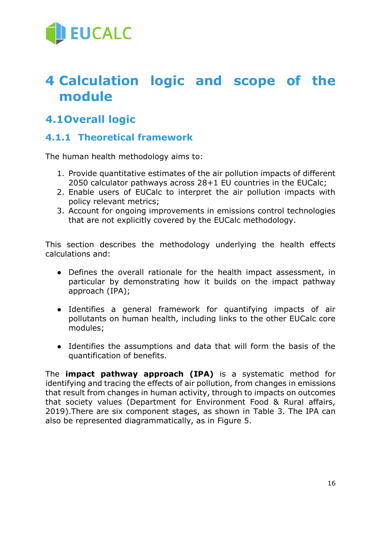

# <span id="page-15-0"></span>**4 Calculation logic and scope of the module**

# <span id="page-15-1"></span>**4.1Overall logic**

## <span id="page-15-2"></span>**4.1.1 Theoretical framework**

The human health methodology aims to:

- 1. Provide quantitative estimates of the air pollution impacts of different 2050 calculator pathways across 28+1 EU countries in the EUCalc;
- 2. Enable users of EUCalc to interpret the air pollution impacts with policy relevant metrics;
- 3. Account for ongoing improvements in emissions control technologies that are not explicitly covered by the EUCalc methodology.

This section describes the methodology underlying the health effects calculations and:

- Defines the overall rationale for the health impact assessment, in particular by demonstrating how it builds on the impact pathway approach (IPA);
- Identifies a general framework for quantifying impacts of air pollutants on human health, including links to the other EUCalc core modules;
- Identifies the assumptions and data that will form the basis of the quantification of benefits.

The **impact pathway approach (IPA)** is a systematic method for identifying and tracing the effects of air pollution, from changes in emissions that result from changes in human activity, through to impacts on outcomes that society values (Department for Environment Food & Rural affairs, 2019).There are six component stages, as shown in [Table 3.](#page-16-2) The IPA can also be represented diagrammatically, as in [Figure 5.](#page-16-1)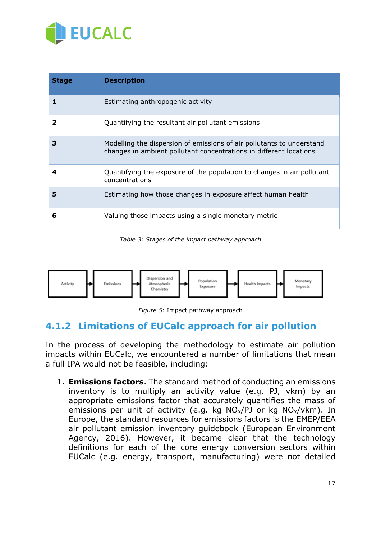

| <b>Stage</b> | <b>Description</b>                                                                                                                          |
|--------------|---------------------------------------------------------------------------------------------------------------------------------------------|
|              | Estimating anthropogenic activity                                                                                                           |
| 2            | Quantifying the resultant air pollutant emissions                                                                                           |
| 3            | Modelling the dispersion of emissions of air pollutants to understand<br>changes in ambient pollutant concentrations in different locations |
| 4            | Quantifying the exposure of the population to changes in air pollutant<br>concentrations                                                    |
| 5            | Estimating how those changes in exposure affect human health                                                                                |
| 6            | Valuing those impacts using a single monetary metric                                                                                        |

*Table 3: Stages of the impact pathway approach*

<span id="page-16-2"></span>

*Figure 5*: Impact pathway approach

## <span id="page-16-1"></span><span id="page-16-0"></span>**4.1.2 Limitations of EUCalc approach for air pollution**

In the process of developing the methodology to estimate air pollution impacts within EUCalc, we encountered a number of limitations that mean a full IPA would not be feasible, including:

1. **Emissions factors**. The standard method of conducting an emissions inventory is to multiply an activity value (e.g. PJ, vkm) by an appropriate emissions factor that accurately quantifies the mass of emissions per unit of activity (e.g. kg  $NO_x/PD$  or kg  $NO_x/vk$ m). In Europe, the standard resources for emissions factors is the EMEP/EEA air pollutant emission inventory guidebook (European Environment Agency, 2016). However, it became clear that the technology definitions for each of the core energy conversion sectors within EUCalc (e.g. energy, transport, manufacturing) were not detailed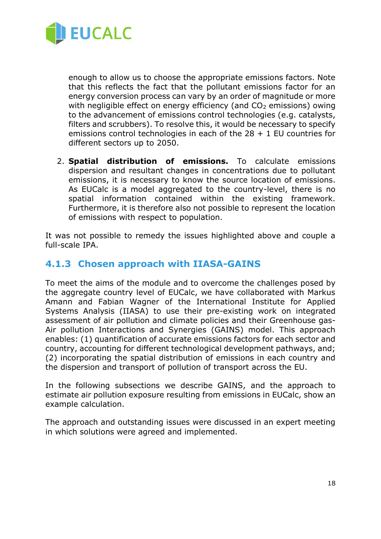

enough to allow us to choose the appropriate emissions factors. Note that this reflects the fact that the pollutant emissions factor for an energy conversion process can vary by an order of magnitude or more with negligible effect on energy efficiency (and  $CO<sub>2</sub>$  emissions) owing to the advancement of emissions control technologies (e.g. catalysts, filters and scrubbers). To resolve this, it would be necessary to specify emissions control technologies in each of the  $28 + 1$  EU countries for different sectors up to 2050.

2. **Spatial distribution of emissions.** To calculate emissions dispersion and resultant changes in concentrations due to pollutant emissions, it is necessary to know the source location of emissions. As EUCalc is a model aggregated to the country-level, there is no spatial information contained within the existing framework. Furthermore, it is therefore also not possible to represent the location of emissions with respect to population.

It was not possible to remedy the issues highlighted above and couple a full-scale IPA.

### <span id="page-17-0"></span>**4.1.3 Chosen approach with IIASA-GAINS**

To meet the aims of the module and to overcome the challenges posed by the aggregate country level of EUCalc, we have collaborated with Markus Amann and Fabian Wagner of the International Institute for Applied Systems Analysis (IIASA) to use their pre-existing work on integrated assessment of air pollution and climate policies and their Greenhouse gas-Air pollution Interactions and Synergies (GAINS) model. This approach enables: (1) quantification of accurate emissions factors for each sector and country, accounting for different technological development pathways, and; (2) incorporating the spatial distribution of emissions in each country and the dispersion and transport of pollution of transport across the EU.

In the following subsections we describe GAINS, and the approach to estimate air pollution exposure resulting from emissions in EUCalc, show an example calculation.

The approach and outstanding issues were discussed in an expert meeting in which solutions were agreed and implemented.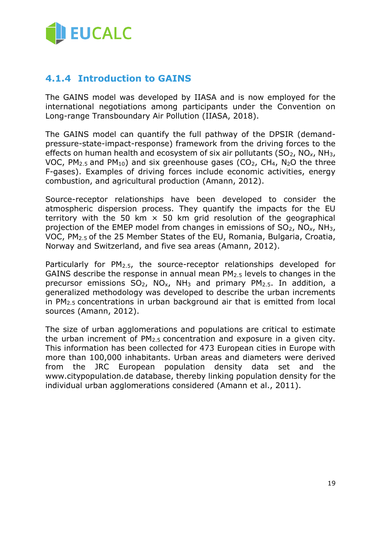

### <span id="page-18-0"></span>**4.1.4 Introduction to GAINS**

The GAINS model was developed by IIASA and is now employed for the international negotiations among participants under the Convention on Long-range Transboundary Air Pollution (IIASA, 2018).

The GAINS model can quantify the full pathway of the DPSIR (demandpressure-state-impact-response) framework from the driving forces to the effects on human health and ecosystem of six air pollutants (SO<sub>2</sub>, NO<sub>x</sub>, NH<sub>3</sub>, VOC, PM<sub>2.5</sub> and PM<sub>10</sub>) and six greenhouse gases (CO<sub>2</sub>, CH<sub>4</sub>, N<sub>2</sub>O the three F-gases). Examples of driving forces include economic activities, energy combustion, and agricultural production (Amann, 2012).

Source-receptor relationships have been developed to consider the atmospheric dispersion process. They quantify the impacts for the EU territory with the 50 km  $\times$  50 km grid resolution of the geographical projection of the EMEP model from changes in emissions of SO2, NO*x*, NH3, VOC, PM2.5 of the 25 Member States of the EU, Romania, Bulgaria, Croatia, Norway and Switzerland, and five sea areas (Amann, 2012).

Particularly for  $PM<sub>2.5</sub>$ , the source-receptor relationships developed for GAINS describe the response in annual mean PM2.5 levels to changes in the precursor emissions  $SO_2$ ,  $NO_x$ ,  $NH_3$  and primary  $PM_{2.5}$ . In addition, a generalized methodology was developed to describe the urban increments in PM2.5 concentrations in urban background air that is emitted from local sources (Amann, 2012).

The size of urban agglomerations and populations are critical to estimate the urban increment of PM2.5 concentration and exposure in a given city. This information has been collected for 473 European cities in Europe with more than 100,000 inhabitants. Urban areas and diameters were derived from the JRC European population density data set and the www.citypopulation.de database, thereby linking population density for the individual urban agglomerations considered (Amann et al., 2011).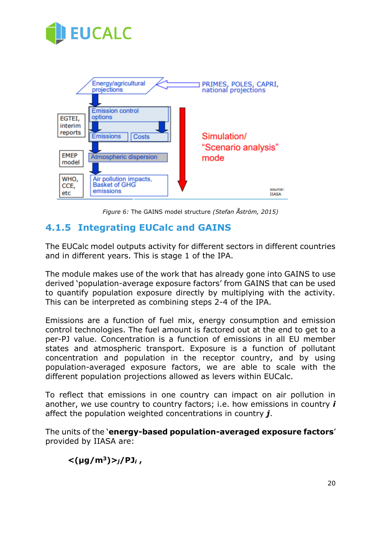



*Figure 6:* The GAINS model structure *(Stefan Åström, 2015)*

## <span id="page-19-1"></span><span id="page-19-0"></span>**4.1.5 Integrating EUCalc and GAINS**

The EUCalc model outputs activity for different sectors in different countries and in different years. This is stage 1 of the IPA.

The module makes use of the work that has already gone into GAINS to use derived 'population-average exposure factors' from GAINS that can be used to quantify population exposure directly by multiplying with the activity. This can be interpreted as combining steps 2-4 of the IPA.

Emissions are a function of fuel mix, energy consumption and emission control technologies. The fuel amount is factored out at the end to get to a per-PJ value. Concentration is a function of emissions in all EU member states and atmospheric transport. Exposure is a function of pollutant concentration and population in the receptor country, and by using population-averaged exposure factors, we are able to scale with the different population projections allowed as levers within EUCalc.

To reflect that emissions in one country can impact on air pollution in another, we use country to country factors; i.e. how emissions in country *i* affect the population weighted concentrations in country *j*.

The units of the '**energy-based population-averaged exposure factors**' provided by IIASA are:

**<(μg/m<sup>3</sup>)>***j***/PJ***<sup>i</sup>* **,**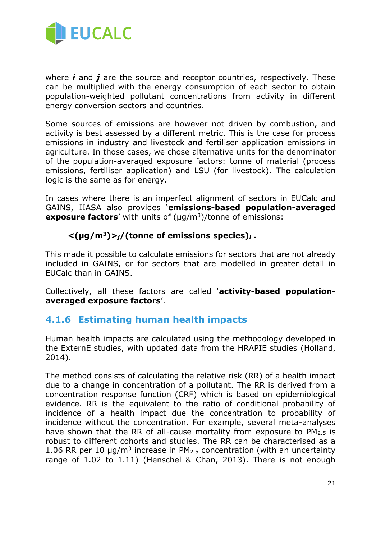

where *i* and *j* are the source and receptor countries, respectively. These can be multiplied with the energy consumption of each sector to obtain population-weighted pollutant concentrations from activity in different energy conversion sectors and countries.

Some sources of emissions are however not driven by combustion, and activity is best assessed by a different metric. This is the case for process emissions in industry and livestock and fertiliser application emissions in agriculture. In those cases, we chose alternative units for the denominator of the population-averaged exposure factors: tonne of material (process emissions, fertiliser application) and LSU (for livestock). The calculation logic is the same as for energy.

In cases where there is an imperfect alignment of sectors in EUCalc and GAINS, IIASA also provides '**emissions-based population-averaged exposure factors**' with units of (μg/m<sup>3</sup>)/tonne of emissions:

### $\langle \mu q/m^3 \rangle$  $> j$  (tonne of emissions species)<sub>*i*</sub>.

This made it possible to calculate emissions for sectors that are not already included in GAINS, or for sectors that are modelled in greater detail in EUCalc than in GAINS.

Collectively, all these factors are called '**activity-based populationaveraged exposure factors**'.

## <span id="page-20-0"></span>**4.1.6 Estimating human health impacts**

Human health impacts are calculated using the methodology developed in the ExternE studies, with updated data from the HRAPIE studies (Holland, 2014).

The method consists of calculating the relative risk (RR) of a health impact due to a change in concentration of a pollutant. The RR is derived from a concentration response function (CRF) which is based on epidemiological evidence. RR is the equivalent to the ratio of conditional probability of incidence of a health impact due the concentration to probability of incidence without the concentration. For example, several meta-analyses have shown that the RR of all-cause mortality from exposure to  $PM<sub>2.5</sub>$  is robust to different cohorts and studies. The RR can be characterised as a 1.06 RR per 10  $\mu$ g/m<sup>3</sup> increase in PM<sub>2.5</sub> concentration (with an uncertainty range of 1.02 to 1.11) (Henschel & Chan, 2013). There is not enough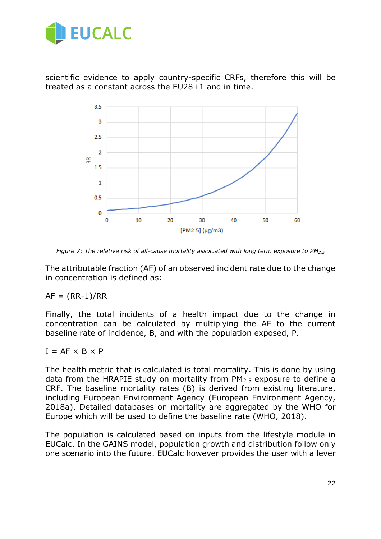

scientific evidence to apply country-specific CRFs, therefore this will be treated as a constant across the EU28+1 and in time.



<span id="page-21-0"></span>*Figure 7: The relative risk of all-cause mortality associated with long term exposure to PM2.5*

The attributable fraction (AF) of an observed incident rate due to the change in concentration is defined as:

 $AF = (RR-1)/RR$ 

Finally, the total incidents of a health impact due to the change in concentration can be calculated by multiplying the AF to the current baseline rate of incidence, B, and with the population exposed, P.

 $I = AF \times B \times P$ 

The health metric that is calculated is total mortality. This is done by using data from the HRAPIE study on mortality from PM2.5 exposure to define a CRF. The baseline mortality rates (B) is derived from existing literature, including European Environment Agency (European Environment Agency, 2018a). Detailed databases on mortality are aggregated by the WHO for Europe which will be used to define the baseline rate (WHO, 2018).

The population is calculated based on inputs from the lifestyle module in EUCalc. In the GAINS model, population growth and distribution follow only one scenario into the future. EUCalc however provides the user with a lever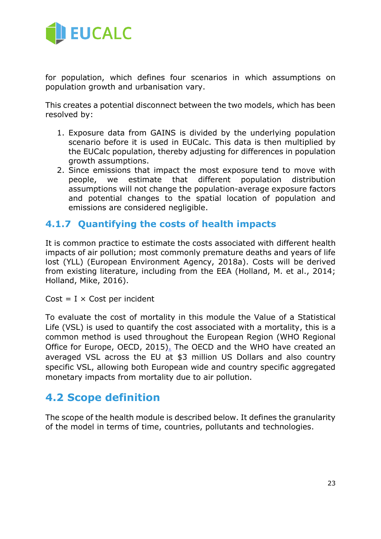

for population, which defines four scenarios in which assumptions on population growth and urbanisation vary.

This creates a potential disconnect between the two models, which has been resolved by:

- 1. Exposure data from GAINS is divided by the underlying population scenario before it is used in EUCalc. This data is then multiplied by the EUCalc population, thereby adjusting for differences in population growth assumptions.
- 2. Since emissions that impact the most exposure tend to move with people, we estimate that different population distribution assumptions will not change the population-average exposure factors and potential changes to the spatial location of population and emissions are considered negligible.

## <span id="page-22-0"></span>**4.1.7 Quantifying the costs of health impacts**

It is common practice to estimate the costs associated with different health impacts of air pollution; most commonly premature deaths and years of life lost (YLL) (European Environment Agency, 2018a). Costs will be derived from existing literature, including from the EEA (Holland, M. et al., 2014; Holland, Mike, 2016).

 $Cost = I \times Cost$  per incident

To evaluate the cost of mortality in this module the Value of a Statistical Life (VSL) is used to quantify the cost associated with a mortality, this is a common method is used throughout the European Region (WHO Regional Office for Europe, OECD, 2015[\).](http://www.euro.who.int/__data/assets/pdf_file/0004/276772/Economic-cost-health-impact-air-pollution-en.pdf) The OECD and the WHO have created an averaged VSL across the EU at \$3 million US Dollars and also country specific VSL, allowing both European wide and country specific aggregated monetary impacts from mortality due to air pollution.

## <span id="page-22-1"></span>**4.2 Scope definition**

The scope of the health module is described below. It defines the granularity of the model in terms of time, countries, pollutants and technologies.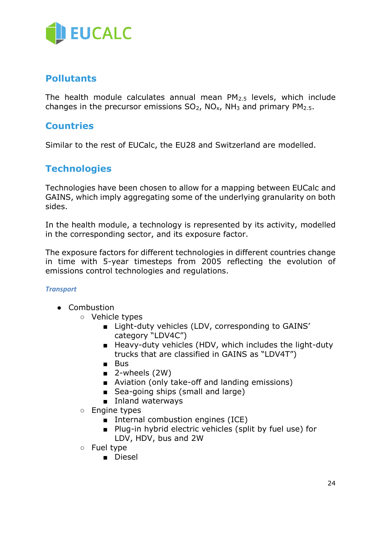

### <span id="page-23-0"></span>**Pollutants**

The health module calculates annual mean PM2.5 levels, which include changes in the precursor emissions  $SO_2$ ,  $NO_x$ ,  $NH_3$  and primary  $PM_{2.5}$ .

### <span id="page-23-1"></span>**Countries**

Similar to the rest of EUCalc, the EU28 and Switzerland are modelled.

## <span id="page-23-2"></span>**Technologies**

Technologies have been chosen to allow for a mapping between EUCalc and GAINS, which imply aggregating some of the underlying granularity on both sides.

In the health module, a technology is represented by its activity, modelled in the corresponding sector, and its exposure factor.

The exposure factors for different technologies in different countries change in time with 5-year timesteps from 2005 reflecting the evolution of emissions control technologies and regulations.

#### <span id="page-23-3"></span>*Transport*

- Combustion
	- Vehicle types
		- Light-duty vehicles (LDV, corresponding to GAINS' category "LDV4C")
		- Heavy-duty vehicles (HDV, which includes the light-duty trucks that are classified in GAINS as "LDV4T")
		- Bus
		- $\blacksquare$  2-wheels (2W)
		- Aviation (only take-off and landing emissions)
		- Sea-going ships (small and large)
		- Inland waterways
	- Engine types
		- Internal combustion engines (ICE)
		- Plug-in hybrid electric vehicles (split by fuel use) for LDV, HDV, bus and 2W
	- Fuel type
		- Diesel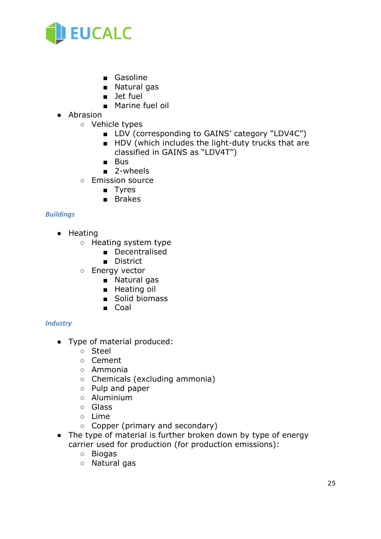

- Gasoline
- Natural gas
- Jet fuel
- Marine fuel oil
- Abrasion
	- Vehicle types
		- LDV (corresponding to GAINS' category "LDV4C")
		- HDV (which includes the light-duty trucks that are classified in GAINS as "LDV4T")
		- Bus
		- 2-wheels
	- Emission source
		- Tyres
		- Brakes

#### <span id="page-24-0"></span>*Buildings*

- Heating
	- Heating system type
		- Decentralised
		- District
	- Energy vector
		- Natural gas
		- Heating oil
		- Solid biomass
		- Coal

#### <span id="page-24-1"></span>*Industry*

- Type of material produced:
	- Steel
	- Cement
	- Ammonia
	- Chemicals (excluding ammonia)
	- Pulp and paper
	- Aluminium
	- Glass
	- Lime
	- Copper (primary and secondary)
- The type of material is further broken down by type of energy carrier used for production (for production emissions):
	- Biogas
	- Natural gas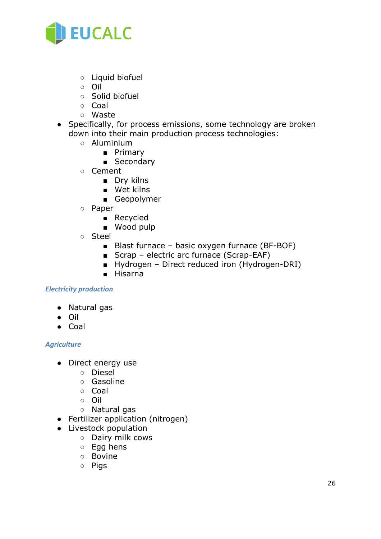<span id="page-25-1"></span>

- Liquid biofuel
- Oil
- Solid biofuel
- Coal
- Waste
- Specifically, for process emissions, some technology are broken down into their main production process technologies:
	- Aluminium
		- Primary
		- Secondary
	- Cement
		- Dry kilns
		- Wet kilns
		- Geopolymer
	- Paper
		- Recycled
		- Wood pulp
	- Steel
		- Blast furnace basic oxygen furnace (BF-BOF)
		- Scrap electric arc furnace (Scrap-EAF)
		- Hydrogen Direct reduced iron (Hydrogen-DRI)
		- Hisarna

#### <span id="page-25-0"></span>*Electricity production*

- Natural gas
- Oil
- Coal

#### <span id="page-25-2"></span>*Agriculture*

- Direct energy use
	- Diesel
	- Gasoline
	- Coal
	- Oil
	- Natural gas
- Fertilizer application (nitrogen)
- Livestock population
	- Dairy milk cows
	- Egg hens
	- Bovine
	- Pigs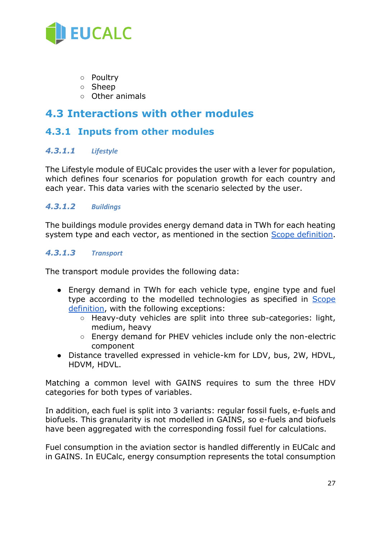

- Poultry
- Sheep
- Other animals

## **4.3 Interactions with other modules**

### <span id="page-26-0"></span>**4.3.1 Inputs from other modules**

#### <span id="page-26-1"></span>*4.3.1.1 Lifestyle*

The Lifestyle module of EUCalc provides the user with a lever for population, which defines four scenarios for population growth for each country and each year. This data varies with the scenario selected by the user.

#### <span id="page-26-2"></span>*4.3.1.2 Buildings*

The buildings module provides energy demand data in TWh for each heating system type and each vector, as mentioned in the section Scope definition.

#### <span id="page-26-3"></span>*4.3.1.3 Transport*

The transport module provides the following data:

- Energy demand in TWh for each vehicle type, engine type and fuel type according to the modelled technologies as specified in Scope definition, with the following exceptions:
	- Heavy-duty vehicles are split into three sub-categories: light, medium, heavy
	- Energy demand for PHEV vehicles include only the non-electric component
- Distance travelled expressed in vehicle-km for LDV, bus, 2W, HDVL, HDVM, HDVL.

Matching a common level with GAINS requires to sum the three HDV categories for both types of variables.

In addition, each fuel is split into 3 variants: regular fossil fuels, e-fuels and biofuels. This granularity is not modelled in GAINS, so e-fuels and biofuels have been aggregated with the corresponding fossil fuel for calculations.

Fuel consumption in the aviation sector is handled differently in EUCalc and in GAINS. In EUCalc, energy consumption represents the total consumption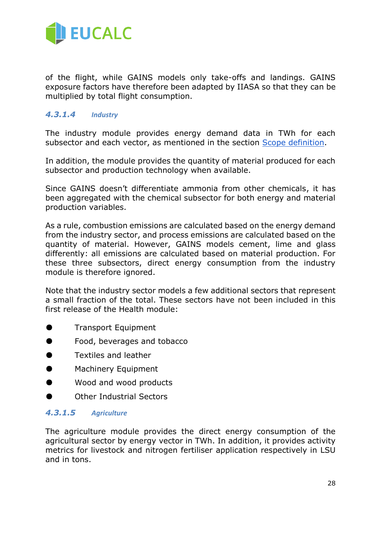

of the flight, while GAINS models only take-offs and landings. GAINS exposure factors have therefore been adapted by IIASA so that they can be multiplied by total flight consumption.

#### <span id="page-27-0"></span>*4.3.1.4 Industry*

The industry module provides energy demand data in TWh for each subsector and each vector, as mentioned in the section Scope definition.

In addition, the module provides the quantity of material produced for each subsector and production technology when available.

Since GAINS doesn't differentiate ammonia from other chemicals, it has been aggregated with the chemical subsector for both energy and material production variables.

As a rule, combustion emissions are calculated based on the energy demand from the industry sector, and process emissions are calculated based on the quantity of material. However, GAINS models cement, lime and glass differently: all emissions are calculated based on material production. For these three subsectors, direct energy consumption from the industry module is therefore ignored.

Note that the industry sector models a few additional sectors that represent a small fraction of the total. These sectors have not been included in this first release of the Health module:

- Transport Equipment
- Food, beverages and tobacco
- Textiles and leather
- Machinery Equipment
- Wood and wood products
- **Other Industrial Sectors**

#### <span id="page-27-1"></span>*4.3.1.5 Agriculture*

The agriculture module provides the direct energy consumption of the agricultural sector by energy vector in TWh. In addition, it provides activity metrics for livestock and nitrogen fertiliser application respectively in LSU and in tons.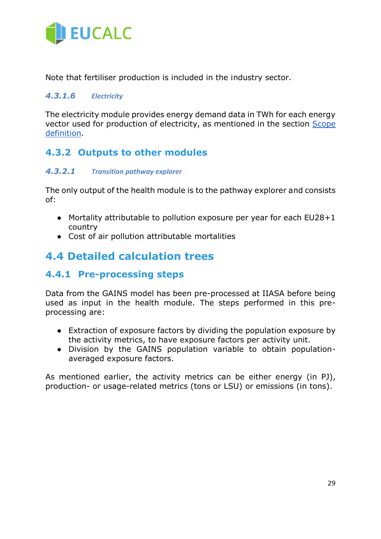<span id="page-28-1"></span>

Note that fertiliser production is included in the industry sector.

#### <span id="page-28-0"></span>*4.3.1.6 Electricity*

The electricity module provides energy demand data in TWh for each energy vector used for production of electricity, as mentioned in the section Scope definition.

## <span id="page-28-2"></span>**4.3.2 Outputs to other modules**

#### <span id="page-28-3"></span>*4.3.2.1 Transition pathway explorer*

The only output of the health module is to the pathway explorer and consists of:

- Mortality attributable to pollution exposure per year for each EU28+1 country
- <span id="page-28-4"></span>● Cost of air pollution attributable mortalities

# **4.4 Detailed calculation trees**

### <span id="page-28-5"></span>**4.4.1 Pre-processing steps**

Data from the GAINS model has been pre-processed at IIASA before being used as input in the health module. The steps performed in this preprocessing are:

- Extraction of exposure factors by dividing the population exposure by the activity metrics, to have exposure factors per activity unit.
- Division by the GAINS population variable to obtain populationaveraged exposure factors.

As mentioned earlier, the activity metrics can be either energy (in PJ), production- or usage-related metrics (tons or LSU) or emissions (in tons).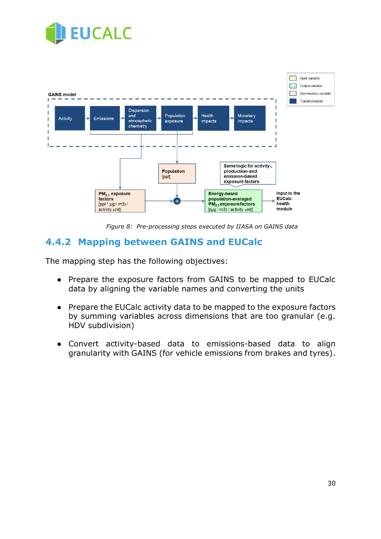



<span id="page-29-1"></span>*Figure 8: Pre-processing steps executed by IIASA on GAINS data*

## <span id="page-29-0"></span>**4.4.2 Mapping between GAINS and EUCalc**

The mapping step has the following objectives:

- Prepare the exposure factors from GAINS to be mapped to EUCalc data by aligning the variable names and converting the units
- Prepare the EUCalc activity data to be mapped to the exposure factors by summing variables across dimensions that are too granular (e.g. HDV subdivision)
- Convert activity-based data to emissions-based data to align granularity with GAINS (for vehicle emissions from brakes and tyres).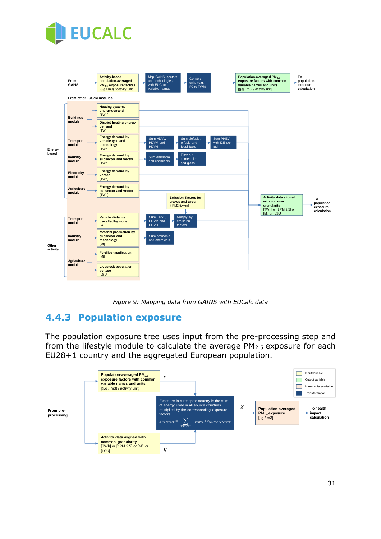<span id="page-30-2"></span>



<span id="page-30-1"></span>*Figure 9: Mapping data from GAINS with EUCalc data*

## <span id="page-30-0"></span>**4.4.3 Population exposure**

The population exposure tree uses input from the pre-processing step and from the lifestyle module to calculate the average  $PM<sub>2.5</sub>$  exposure for each EU28+1 country and the aggregated European population.

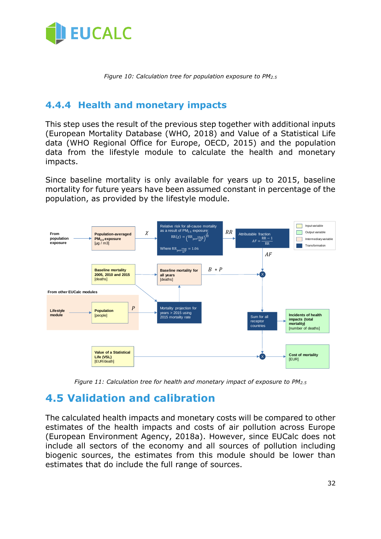

*Figure 10: Calculation tree for population exposure to PM2.5*

## <span id="page-31-0"></span>**4.4.4 Health and monetary impacts**

This step uses the result of the previous step together with additional inputs (European Mortality Database (WHO, 2018) and Value of a Statistical Life data (WHO Regional Office for Europe, OECD, 2015) and the population data from the lifestyle module to calculate the health and monetary impacts.

Since baseline mortality is only available for years up to 2015, baseline mortality for future years have been assumed constant in percentage of the population, as provided by the lifestyle module.



<span id="page-31-1"></span>*Figure 11: Calculation tree for health and monetary impact of exposure to PM2.5*

# <span id="page-31-2"></span>**4.5 Validation and calibration**

The calculated health impacts and monetary costs will be compared to other estimates of the health impacts and costs of air pollution across Europe (European Environment Agency, 2018a). However, since EUCalc does not include all sectors of the economy and all sources of pollution including biogenic sources, the estimates from this module should be lower than estimates that do include the full range of sources.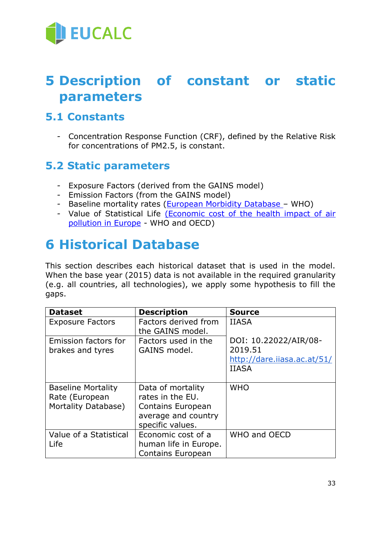<span id="page-32-4"></span>

# <span id="page-32-0"></span>**5 Description of constant or static parameters**

# <span id="page-32-1"></span>**5.1 Constants**

*-* Concentration Response Function (CRF), defined by the Relative Risk for concentrations of PM2.5, is constant.

# <span id="page-32-2"></span>**5.2 Static parameters**

- *-* Exposure Factors (derived from the GAINS model)
- *-* Emission Factors (from the GAINS model)
- *-* Baseline mortality rates [\(European Morbidity Database](https://gateway.euro.who.int/en/datasets/european-mortality-database/) WHO)
- *-* Value of Statistical Life [\(Economic cost of the health impact of air](http://www.euro.who.int/__data/assets/pdf_file/0004/276772/Economic-cost-health-impact-air-pollution-en.pdf)  [pollution in Europe](http://www.euro.who.int/__data/assets/pdf_file/0004/276772/Economic-cost-health-impact-air-pollution-en.pdf) - WHO and OECD)

# <span id="page-32-3"></span>**6 Historical Database**

This section describes each historical dataset that is used in the model. When the base year (2015) data is not available in the required granularity (e.g. all countries, all technologies), we apply some hypothesis to fill the gaps.

| <b>Dataset</b>            | <b>Description</b>       | <b>Source</b>               |
|---------------------------|--------------------------|-----------------------------|
| <b>Exposure Factors</b>   | Factors derived from     | <b>IIASA</b>                |
|                           | the GAINS model.         |                             |
| Emission factors for      | Factors used in the      | DOI: 10.22022/AIR/08-       |
| brakes and tyres          | GAINS model.             | 2019.51                     |
|                           |                          | http://dare.iiasa.ac.at/51/ |
|                           |                          | <b>IIASA</b>                |
|                           |                          |                             |
| <b>Baseline Mortality</b> | Data of mortality        | <b>WHO</b>                  |
| Rate (European            | rates in the EU.         |                             |
| Mortality Database)       | <b>Contains European</b> |                             |
|                           | average and country      |                             |
|                           | specific values.         |                             |
| Value of a Statistical    | Economic cost of a       | WHO and OECD                |
| Life                      | human life in Europe.    |                             |
|                           | <b>Contains European</b> |                             |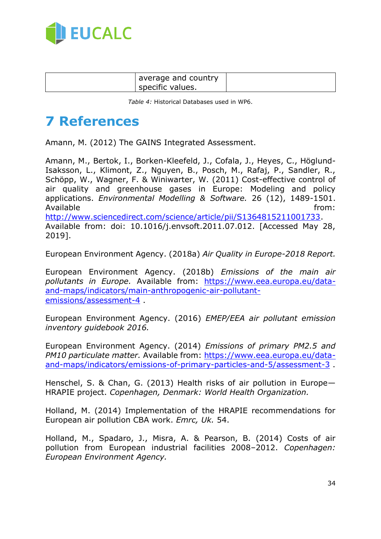

| average and country<br>specific values. |
|-----------------------------------------|
|-----------------------------------------|

*Table 4:* Historical Databases used in WP6.

# <span id="page-33-0"></span>**7 References**

Amann, M. (2012) The GAINS Integrated Assessment.

Amann, M., Bertok, I., Borken-Kleefeld, J., Cofala, J., Heyes, C., Höglund-Isaksson, L., Klimont, Z., Nguyen, B., Posch, M., Rafaj, P., Sandler, R., Schöpp, W., Wagner, F. & Winiwarter, W. (2011) Cost-effective control of air quality and greenhouse gases in Europe: Modeling and policy applications. *Environmental Modelling & Software.* 26 (12), 1489-1501. Available from: the state of the state of the state of the state of the state of the state of the state of the [http://www.sciencedirect.com/science/article/pii/S1364815211001733.](http://www.sciencedirect.com/science/article/pii/S1364815211001733) Available from: doi: 10.1016/j.envsoft.2011.07.012. [Accessed May 28, 2019].

European Environment Agency. (2018a) *Air Quality in Europe-2018 Report.* 

European Environment Agency. (2018b) *Emissions of the main air pollutants in Europe.* Available from: [https://www.eea.europa.eu/data](https://www.eea.europa.eu/data-and-maps/indicators/main-anthropogenic-air-pollutant-emissions/assessment-4)[and-maps/indicators/main-anthropogenic-air-pollutant](https://www.eea.europa.eu/data-and-maps/indicators/main-anthropogenic-air-pollutant-emissions/assessment-4)[emissions/assessment-4](https://www.eea.europa.eu/data-and-maps/indicators/main-anthropogenic-air-pollutant-emissions/assessment-4) .

European Environment Agency. (2016) *EMEP/EEA air pollutant emission inventory guidebook 2016.* 

European Environment Agency. (2014) *Emissions of primary PM2.5 and PM10 particulate matter.* Available from: [https://www.eea.europa.eu/data](https://www.eea.europa.eu/data-and-maps/indicators/emissions-of-primary-particles-and-5/assessment-3)[and-maps/indicators/emissions-of-primary-particles-and-5/assessment-3](https://www.eea.europa.eu/data-and-maps/indicators/emissions-of-primary-particles-and-5/assessment-3) .

Henschel, S. & Chan, G. (2013) Health risks of air pollution in Europe— HRAPIE project. *Copenhagen, Denmark: World Health Organization.* 

Holland, M. (2014) Implementation of the HRAPIE recommendations for European air pollution CBA work. *Emrc, Uk.* 54.

Holland, M., Spadaro, J., Misra, A. & Pearson, B. (2014) Costs of air pollution from European industrial facilities 2008–2012. *Copenhagen: European Environment Agency.*